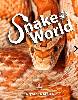

### **Crystal Morales**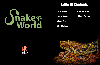### Table Of Contents



1. Milk Snake 2. Corn Snake 4. Sand Boa 5. Ball Python





### 6. Garter Snake 7. Woma Python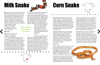### Milk Snake

**M**ilk sankes include some of the most beautiful subspecies of any genus and they are easy to keep in captivity which explains why they are incredibly popular with reptile hobbyists. The genus of Milk snakes contains an incredible variety of snakes that have a large rage of habbiats. These snakes come from from the farmlands, grasslands and forest. Milk snakes range from 2 to 5 feet. This is why its really hard

to get a specific care sheet for these kinds of snakes. The snake care below is a rough outline on how to care for your milk snakes.

#### **Snake Care**

Baby and juvenle snakes can be set up in an enclosure as small as a 10 gallon (20"

x 10" x 12"H) but adults should be housed in a larger enclosure of 20 to 70 gallons (36" x 18" x 25"H) depending on their full adult size to allow for additional room and a better design. For example, a subspecies that becomes a 4 foot adult should be housed in an enclosure at least 40 gallons in size. There is no such thing as a cage too big for a Milk Snake so larger is always much better than smaller. Since like most snakes, Milk Snakes are escape artists, a secure screen top is absolutely critical to keep your snake from escaping the enclosure.

Zoo Med Aspen Snake Bedding is generally the best substrate for Milk Snakes. Reptile keepers also use Zoo Med Repti Bark, Zoo Med Forest Floor Cypress Bedding or Zoo Med Eco Earth. Baby Milk Snakes can also be kept on paper towels or similar product until they become juveniles. Whichever you decide to use, stick to

> well-known products designed for use with reptiles and be careful of some commercial aspen brands as they may contain high amounts of dust or other contaminants that that can be harmful to your pet.

As with all reptiles, Milk Snakes need a thermal gradient consisting of a warm side (86° F) and a cool side (78° F). The best way to heat your Milk Snake's enclosure is with a combination of heat mat and ceramic heat emitter. We recommend an under tank heat mat and Infrared Ceramic Heat Emitter. The heat mat and ceramic heat emitter should be on one side while the other side should not have any heat source. We recommend controlling the ceramic emitter with a thermostat and monitoring the temperatures with a thermometer.

### **Milk snakes range from 2 to 5 feet.**

# Corn Snake

**T**he best beginner snakes to have are corn snakes. They come in all color mutations just like the ball pythons. These snakes are also readaly available and can find them at most pet stores and reptile expos. Since they're so easy to find, they're very affordable snakes.You can find these snakes at reptile expos for about 20 to 30 dollars. When you start to look for different morphs, the prices of these snakes go up to about 100 to 150.

These sankes only go up to 4 or 6 feet long depending on thier sex. Just like with other snakes, females get bigger than males. These snakes are very docile and easy to handle. These snakes as a whole are very calm snakes. With Porper care, these snakes can be up to 20 years old. They are often reproductive until 10 or 20 years and sometimeseven longer.

#### **Snake Care**

Baby corn snakes are often times put in a small plastic vivarium the size of a shoe box and live out the first several months. When they grow bigger however, they need at least a 20-gallon long reptile terrerium, but bigger is better. Snakes are not socail animals, so cagemates can cause stress.

 House only one snake per terrerium. All snakes are escape artists, so male sure the cage is escape proof. Corn snakes appriceate sanke habbitats products like climbing branches and dark, tight reptile hides. These are essencial to



make your snake feel secure. Corn snakes dont require special lighitng, but natural light from nearby windows will help. If you don't have a place to near a window You can always buy a reptile lamp to place overhead. Lamps will also provide a heat sorce for your sanke. On the warm end 85 degrees farenheit is perfec, and room tempuratures (low 70's) are fine for cool end. Be sure to check the temperature inside the warm end of the hide - not the glass.

Temperature and very quite a bit within just a few inches, so thermometer placement is important. Misting the enclosure can cause mold and is harmful for snakes. Although, when the snake is shedding it's skin in pieces, be sure to put a clum of damp moss or a damp napkin to make the encloser a little humid. For Substrate, most breeders use aspen shavings as bedding because it is absornbent, soft and holds shape.

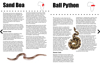## Sand Boa

**T**he Kenyan sand boa has a dedicated and growing following due to its manageable size, passive personality and simple captive care requirements. Reptile breeders, pet stores, and online reptile stores are good sources to find Kenyan sand boas. The naturally occurring color of Kenyan sand boas is beautiful as it is, but there are also plenty of color morphs to choose from.

The Kenyan sand boa is a small boa, with females reaching little more than 2 feet in length. Male Kenyan sand boas tend to be smaller than females, rarely exceeding 20 inches in length. Kenyan sand boas have a heavy, stout body.

#### **Snake Care**

The Kenyan sand boa is appealing to many keepers because of its minimal space requirements. Even the largest female Kenyan sand boa can be comfortably housed in a 10-gallon reptile terrarium with a secure lid, or a similarly sized enclosure.

If a terrarium with a screen lid is used for the Kenyan sand boa along with an incandescent overhead lamp fixture during the day, to heat the air in the cage. The hotspot under the light should be approximately 95 degrees Fahrenheit and the cooler side of the enclosure should be around 80 degrees. A drop to the mid-70s at night is acceptable. This can be measured using reptile thermometers.Given the Kenyan

sand boa's propensity for burrowing, habitat accessories should be minimal. Heavy rocks should be avoided, unless they are firmly fastened to the enclosure. If a Kenyan sand boa burrows beneath heavy rocks and causes a mini-avalanche, the result could be injury or even death to the snake. Despite its small size, the Kenyan sand boa can be very destructive to your cage's interior design, so décor does not need to be excessive.

Many people naturally assume the only choice of substrate for the Kenyan sand boa is sand. The truth is the Kenyan sand boa can be kept on a variety of reptile beddings, including aspen bedding, coconut mulch, play sand and even newspaper. I have kept and bred Kenyan sand boas on all of these materials . I do recommend staying away from gravel, corncob bedding and, for all reptiles, cedar shavings.

Sand boas are very even-tempered. They are very docile and harmless. Although these snakes are very friendly creatures, if you approach a Kenyan sand boa from above, near the front third of its body, it may assume you are food and strike at you. A bite from a Kenyan sand boa is no more severe than a scratch from a housecat, to put it into perspective, but it can still be painful for you and traumatic for the snake, and for these reasons a bite should be avoided as much as possible.



# Ball Python

**T**he ball python is quite simply the most popular pet python in the world. Ball pythons are generally a bit shy, but they make for ideal captives, because they are of a small size, are generally friendly, are manageable to care for, and come in a remarkable array of colors and patterns.

Ball pythons make for a quality pet for the first-time keeper and experienced herpetoculturists alike. Each year, breeders create incredible, innovative, never-beforeseen pattern and color variations that continually generate new fans of the ball python. With reptile health and wellness in mind, this species thrives in captivity.

Ball python hatchlings are approximately 10 inches in length. Adult female ball pythons average 3 to 5 feet long, and adult male ball pythons average 2 to 3 feet in size. This is a species in which mature females are typically much larger than the males. A 5-foot ball python is considered big, although lengths of 6 feet or more have been reported. These snakes can live up to 30 years.

#### **Snake Care**

Ball python enclosures can be as simple or as elaborate as you want to care for when it comes to snake habitat products. Remember that the more you put in the cage, the more you have to clean and disinfect on a regular basis. That said, there are different enclosures that work well for ball pythons, including, but not limited to, plastic



sweaterboxes (i.e. Rubbermaid), melamine racks and any of the commercially available, plastictype reptile cages. Glass reptile terrariums and tanks are adequate for ball pythons, but the screen tops on such enclosures can make it very difficult to maintain proper humidity levels.

Juvenile ball pythons seem to do well in small enclosures that make them feel secure. A small snake in a big cage can become overwhelmed and stressed. Adult ball pythons do not require exceptionally large or elaborate enclosures either. A 36-inch by 18-inch by 12-inch enclosure will more than comfortably house an adult ball python.

Spot-clean your ball python's enclosure as necessary. Remove feces and urates as soon as possible. You can use a specialized cleaner to be extra safe, such as the Flukers Eco Clean Waste Remover. Do a complete tear-down every 30 days by removing all substrate and reptile accessories and completely disinfecting with a 5 percent bleach solution. Rinse the enclosure thoroughly with water, and allow it to dry completely before replacing cage accessories and your snake.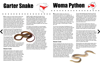# Garter Snake

**G**arter snakes are small colubrid snakes that are not constrictors. They do not pose any dangers to children other than salmonella, which can be carried by any reptile. They are active during the day so they have excellent eye sight which they use along with their keen sense of smell to find and capture prey. They make great display pets because they are very alert and active. In the wild they are often found around water; streams, rivers, lakes and marshes.

Females are around 3ft long depending on species and males are usually 2ft or less in length. They are a fairly slim bodied snake, males more so than females. Babies are very small, average size at birth is 6-8 inches.

The average life span in the wild may only be 4-5 years however they can live twice as long in captivity. Captives reaching over 10 years old have been documented when reptile health and wellness is prioritized along with proper snake supplies, reptile cleaning supplies, and snake habitat products.

#### **Snake Care**

Garters can be kept in rack systems, but are best suited for aquarium or reptile terrarium style cages. Acrylic or screen style terrariums make ideal cages and can be decorated reptile habitat accessories like wood and vines for the snake to climb around on, which provides beneficial exercise. Minimum size for and adult is a 28 quart plastic tube or a 29 gallon aquarium/terrarium. Males could be kept in

slightly smaller cages than females due to their size difference. Multiple garter snakes can be kept together with more space however they should be separated for feeding to avoid incidental cannibalism. A pair of garter snakes can live comfortably in a 55 gallon size. The more space the better as garters are very active and like to climb.

If UV light is not provided it is recommended to occasionally dust food items with a calcium/ vitamin powder that contains D3, such as Zoo Med Repti Calcium with D3 Supplement. Garter snakes need a basking area between 90-95 degrees for proper digestion. Heat can be provided by either a basking lamp, heat tape (or Zilla Heat Mat) under the tank or both. As with any reptile a temperature gradient should occur in the cage with hides on both the hot and

cool sides monitored by a Zilla Terrarium Heat & Habitat Lighting Controller. It is important to maintain moderate humidity for proper shedding however the cage should not be kept damp or wet as this will cause blistering on the belly.



**W**oma python babies can start out in enclosures as small as 10 to 15 gallons. At around a year old, you can increase the size of the enclosure. There are several kinds that work for womas, e.g., glass aquariums, snake racks and any of the commercially available, plastictype reptile enclosures. For an adult, you can step up to an enclosure that is at least 36" x 18" (Exo Terra Large, or Zilla 40 gal) or a larger 48" x 24"

You can use many types of bedding for your woma. The ones that look and work the best are Exo Terra (natural) sand, Zoo Med eco earth, and Zoo Med aspen. Spot clean the bedding whenever they defecate. If you choose sand, keep it thin (about 1/2") do not use calcium sand. It can clump in your animals gut like cat litter. You should only need to clean the whole thing out about once a month. Disinfect the enclosure and change out the bedding at that time. Zoo Meds wipe out or vinegar and water both work good for cage cleaning.

#### **Snake Care**

Womas originate from the arid and semi-arid regions in Australia and they like it pretty warm, though they need to be able to cool off if they want to. Like all reptiles, they are dependent on external thermoregulation to control their body temperature. This essentially means you need to provide both a hot and cool side to your enclosure. All the heat elements should be on one side and the other will then be the cool side. This way your snake can move back and forth between the different temperatures depending on its needs.

The hot side basking spot should be at 87-90 degrees. Put one hide there and another hide on the cool side. The cool side can be between 75-80 degrees. At night it can drop down to 72 ambient temperature. It's a good idea to use a basking light and an under tank heat pad also. The heat pads are usually placed on the hot side with a hide over it.

Keep a non-porous water bowl in with your woma python and make sure they always have clean water. If you maintain a humidity level of around 50%, your snake will be able to shed properly. Hand misters are usually sufficient.

This means the girth of the food item should not exceed the girth of the snake (at it's biggest point, not his neck size). We suggest providing a variety by rotating what kind of prey item is offered. Do not handle your snake for at least 24 hours after it has eaten. Snakes in general tend not to eat when they are in shed. Just wait to feed until your pet sheds. Snakes over two years can eat every 2 weeks if you want. Make sure it's a decent size meal.

Woma pythons are rather gentle snakes with a good tolerance for being handled. This along with a nice feeding response makes them great pets. They are generally friendly and easy to care for.